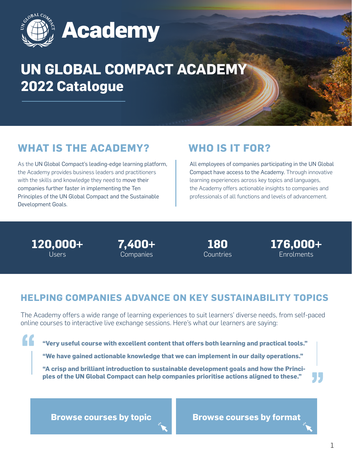

# **UN GLOBAL COMPACT ACADEMY 2022 Catalogue**

# **WHAT IS THE ACADEMY?**

As the UN Global Compact's leading-edge learning platform, the Academy provides business leaders and practitioners with the skills and knowledge they need to move their companies further faster in implementing the Ten Principles of the UN Global Compact and the Sustainable Development Goals.

# **WHO IS IT FOR?**

All employees of companies participating in the UN Global Compact have access to the Academy. Through innovative learning experiences across key topics and languages, the Academy offers actionable insights to companies and professionals of all functions and levels of advancement.

**120,000+** Users

FF.

**7,400+ Companies** 

**180** Countries **176,000+ Enrolments** 

# **HELPING COMPANIES ADVANCE ON KEY SUSTAINABILITY TOPICS**

The Academy offers a wide range of learning experiences to suit learners' diverse needs, from self-paced online courses to interactive live exchange sessions. Here's what our learners are saying:

**"Very useful course with excellent content that offers both learning and practical tools."**

**"We have gained actionable knowledge that we can implement in our daily operations."**

**"A crisp and brilliant introduction to sustainable development goals and how the Principles of the UN Global Compact can help companies prioritise actions aligned to these."**

**[Browse courses by topic](#page-1-0)**

**[Browse courses by format](#page-3-0)**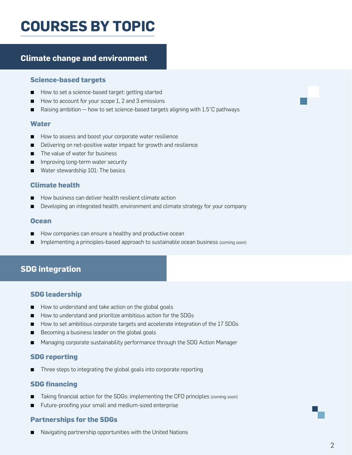# <span id="page-1-0"></span>**COURSEs by TOPIC**

# **Climate change and environment**

#### **Science-based targets**

- [How to set a science-based target: getting started](https://academy.unglobalcompact.org/learn/course/177/how-to-set-a-science-based-target%3Fgenerated_by%3D22938%26hash%3De649fc5beb7c82332664e9f16d2fdc72606ea3fa)
- [How to account for your scope 1, 2 and 3 emissions](https://academy.unglobalcompact.org/lms/index.php%3Fr%3Dcoursepath/deeplink%26id_path%3D118%26generated_by%3D22938%26hash%3D196d4710b81f92c2ecde7dd22e12beb9458ac1db)
- Raising ambition how to set science-based targets aligning with  $1.5^{\circ}$ C pathways

#### **Water**

- [How to assess and boost your corporate water resilience](https://academy.unglobalcompact.org/learn/course/2755/how-to-assess-and-boost-your-corporate-water-resilience%3Fgenerated_by%3D22938%26hash%3Dd14a1f05d95670dedad4b6b7a1dea0e97febf471)
- [Delivering on net-positive water impact for growth and resilience](https://academy.unglobalcompact.org/learn/course/2113/delivering-on-net-positive-water-impact-for-growth-and-resilience%3Fgenerated_by%3D22938%26hash%3Dfefb83964b5e3fe180ab46bd83605f3e14c72b4e)
- [The value of water for business](https://academy.unglobalcompact.org/learn/course/952/the-value-of-water-for-business%3Fgenerated_by%3D22938%26hash%3Da56b5bc6665f3503896802d721be479dfefee6c2)
- [Improving long-term water security](https://academy.unglobalcompact.org/learn/course/192/improving-long-term-water-security%3Fgenerated_by%3D22938%26hash%3D9a20d86546a38feb7163464324f239846821ba49)
- [Water stewardship 101: The basics](https://academy.unglobalcompact.org/learn/course/178/water-stewardship-101-the-basics%3Fgenerated_by%3D22938%26hash%3D34a0e401e5e125a7a2e6807ab1af2d5dabf8a76a)

### **Climate health**

- [How business can deliver health resilient climate action](https://academy.unglobalcompact.org/learn/course/2128/how-business-can-deliver-health-resilient-climate-action%3Fgenerated_by%3D22938%26hash%3Dfdd6754fbb4ff815140b7e1cda3c976bb5e86695)
- [Developing an integrated health, environment and climate strategy for your company](https://academy.unglobalcompact.org/learn/course/182/developing-an-integrated-health-environment-and-climate-strategy-for-your-company%3Fgenerated_by%3D22938%26hash%3D9aeb0189786d9b656a8a79b5026c45cf3005fea8)

#### **Ocean**

- [How companies can ensure a healthy and productive ocean](https://academy.unglobalcompact.org/learn/course/198/how-companies-can-ensure-a-healthy-and-productive-ocean%3Fgenerated_by%3D22938%26hash%3Dba1ec660b01ac9afa15d0157b8f8a2e209ab183d)
- Implementing a principles-based approach to sustainable ocean business (coming soon)

# **SDG integration**

### **SDG leadership**

- [How to understand and take action on the global goals](https://academy.unglobalcompact.org/learn/course/35/how-to-understand-and-take-action-on-the-global-goals%3Fgenerated_by%3D22938%26hash%3D9b2b798eedca814acfbafb2213d5b51e5d7f9d60)
- [How to understand and prioritize ambitious action for the SDGs](https://academy.unglobalcompact.org/lms/index.php%3Fr%3Dcoursepath/deeplink%26id_path%3D117%26generated_by%3D22938%26hash%3D1f0e7ac8d2b51048b4dd328a028c00250fc49240)
- [How to set ambitious corporate targets and accelerate integration of the 17 SDGs](https://academy.unglobalcompact.org/learn/course/263/how-to-set-ambitious-corporate-targets-and-accelerate-integration-of-the-17-sdgs%3Fgenerated_by%3D22938%26hash%3D1a3c8e8eeab96064330d75b76d564ca414c658eb)
- [Becoming a business leader on the global goals](https://academy.unglobalcompact.org/learn/course/60/becoming-a-business-leader-on-the-global-goals%3Fgenerated_by%3D22938%26hash%3Dd89b07491402cfee1a41539b65ce6c9c4b707095)
- [Managing corporate sustainability performance through the SDG Action Manager](https://academy.unglobalcompact.org/learn/course/207/managing-corporate-sustainability-performance-through-the-new-sdg-action-manager%3Fgenerated_by%3D22938%26hash%3D833e29bd4116761b0e86f24ef43a6820f32c421e)

## **SDG reporting**

[Three steps to integrating the global goals into corporate reporting](https://academy.unglobalcompact.org/learn/course/46/three-steps-to-integrating-the-global-goals-into-corporate-reporting%3Fgenerated_by%3D22938%26hash%3Dea0b96504eadb9f37b399aaaea9415d4206d0910)

### **SDG financing**

- Taking financial action for the SDGs: implementing the CFO principles (coming soon)
- [Future-proofing your small and medium-sized enterprise](https://academy.unglobalcompact.org/learn/course/3898/future-proofing-your-small-to-medium-sized-enterprise%3Fgenerated_by%3D22938%26hash%3D202116ccde737d7fa3e559800a4cec4afc8f4924)

## **Partnerships for the SDGs**

[Navigating partnership opportunities with the United Nations](https://academy.unglobalcompact.org/learn/course/92/navigating-partnership-opportunities-with-the-united-nations%3Fgenerated_by%3D22938%26hash%3Da8506ea1daea9d5d282914b39bc9011afa7fc3da)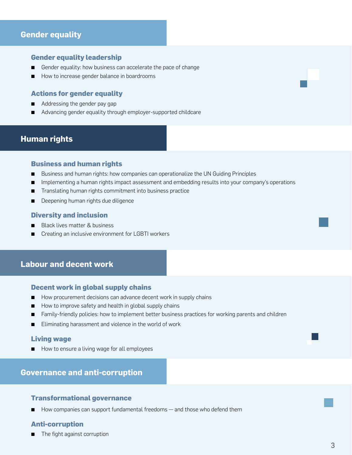# **Gender equality**

#### **Gender equality leadership**

- [Gender equality: how business can accelerate the pace of change](https://academy.unglobalcompact.org/learn/course/262/gender-equality-how-business-can-accelerate-the-pace-of-change%3Fgenerated_by%3D22938%26hash%3Dd6fe149c37ae9e8b8369ea00b4b964040a517a0b)
- [How to increase gender balance in boardrooms](https://academy.unglobalcompact.org/learn/course/921/how-to-increase-gender-balance-in-boardrooms%3Fgenerated_by%3D22938%26hash%3D533bbe472b3462cd9960d15d88c940beabc86708)

#### **Actions for gender equality**

- [Addressing the gender pay gap](https://academy.unglobalcompact.org/learn/course/86/addressing-the-gender-pay-gap%3Fgenerated_by%3D22938%26hash%3D51d193c2bc936486f4e4d34d275f778f19786c46)
- [Advancing gender equality through employer-supported childcare](https://academy.unglobalcompact.org/learn/course/66/advancing-gender-equality-through-employer-supported-childcare%3Fgenerated_by%3D22938%26hash%3D4f55429303a60bde0158bae6e7d7c59b8c460060)

## **Human rights**

#### **Business and human rights**

- [Business and human rights: how companies can operationalize the UN Guiding Principles](https://academy.unglobalcompact.org/lms/index.php%3Fr%3Dcoursepath/deeplink%26id_path%3D115%26generated_by%3D22938%26hash%3Dd02b67cd691f1ad60aa7e234461294899bcf0cda)
- [Implementing a human rights impact assessment and embedding results into your company's operations](https://academy.unglobalcompact.org/learn/course/61/implementing-a-human-rights-impact-assessment-and-embedding-results-into-your-companys-operations%3Fgenerated_by%3D22938%26hash%3Da7cea45ccf8e5e04dbce156cf788c58816956d88)
- [Translating human rights commitment into business practice](https://academy.unglobalcompact.org/learn/course/45/translating-human-rights-commitment-into-business-practice%3Fgenerated_by%3D22938%26hash%3Da0a4d04dfb61e6e038d1872ee2f54ce55bc6ebda)
- [Deepening human rights due diligence](https://academy.unglobalcompact.org/lms/index.php%3Fr%3Dcoursepath/deeplink%26id_path%3D156%26generated_by%3D22938%26hash%3D232c70af408af17b8960d7add83e3598efc2e0e7)

#### **Diversity and inclusion**

- **[Black lives matter & business](https://academy.unglobalcompact.org/lms/index.php%3Fr%3Dcoursepath/deeplink%26id_path%3D48%26generated_by%3D22938%26hash%3D54552dabdde3edd748f60c0542e64d2b24ae4edf)**
- [Creating an inclusive environment for LGBTI workers](https://academy.unglobalcompact.org/learn/course/210/creating-an-inclusive-environment-for-lgbti-workers%3Fgenerated_by%3D22938%26hash%3Daad650053e496b339e97a8f99240aaed91872f32)

# **Labour and decent work**

#### **Decent work in global supply chains**

- [How procurement decisions can advance decent work in supply chains](https://academy.unglobalcompact.org/learn/course/1131/how-to-improve-safety-and-health-in-global-supply-chains%3Fgenerated_by%3D22938%26hash%3Dbec7c7c53ffe24535164db2a310d41b5cfbf7d3f)
- [How to improve safety and health in global supply chains](https://academy.unglobalcompact.org/learn/course/1131/how-to-improve-safety-and-health-in-global-supply-chains%3Fgenerated_by%3D22938%26hash%3Dbec7c7c53ffe24535164db2a310d41b5cfbf7d3f)
- [Family-friendly policies: how to implement better business practices for working parents and children](https://academy.unglobalcompact.org/learn/course/853/family-friendly-policies-how-to-implement-better-business-practices-for-working-parents-and-children%3Fgenerated_by%3D22938%26hash%3Dc139cbb90b88e0c3f151e70f001d009cff91c699)
- [Eliminating harassment and violence in the world of work](https://academy.unglobalcompact.org/learn/course/205/eliminating-harassment-and-violence-in-the-world-of-work%3Fgenerated_by%3D22938%26hash%3D1bb32c9d93c7aac209c688559f08f97ff0c6b423)

#### **Living wage**

[How to ensure a living wage for all employees](https://academy.unglobalcompact.org/learn/course/2185/how-to-ensure-a-living-wage-for-all-employees%3Fgenerated_by%3D22938%26hash%3D2a82a72871f02fd3116c5b13ac37732e6f53c923)

# **Governance and anti-corruption**

### **Transformational governance**

[How companies can support fundamental freedoms — and those who defend them](https://academy.unglobalcompact.org/learn/course/171/how-companies-can-support-fundamental-freedoms-and-those-who-defend-them%3Fgenerated_by%3D22938%26hash%3D66374d1466d63af237a829e27aadd99144533873)

### **Anti-corruption**

[The fight against corruption](https://academy.unglobalcompact.org/learn/course/196/the-fight-against-corruption%3Fgenerated_by%3D22938%26hash%3Dd00cc5d33720277562526a7a10f5e064f30fd365)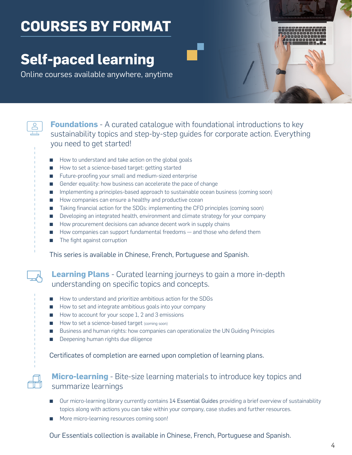# <span id="page-3-0"></span>**COURSEs by Format**

# **Self-paced learning**

Online courses available anywhere, anytime



**Foundations** - A curated catalogue with foundational introductions to key sustainability topics and step-by-step guides for corporate action. Everything you need to get started!

- [How to understand and take action on the global goals](https://academy.unglobalcompact.org/learn/course/35/how-to-understand-and-take-action-on-the-global-goals%3Fgenerated_by%3D22938%26hash%3D9b2b798eedca814acfbafb2213d5b51e5d7f9d60)
- [How to set a science-based target: getting started](https://academy.unglobalcompact.org/learn/course/35/how-to-understand-and-take-action-on-the-global-goals%3Fgenerated_by%3D22938%26hash%3D9b2b798eedca814acfbafb2213d5b51e5d7f9d60)
- [Future-proofing your small and medium-sized enterprise](https://academy.unglobalcompact.org/learn/course/3898/future-proofing-your-small-to-medium-sized-enterprise%3Fgenerated_by%3D22938%26hash%3D202116ccde737d7fa3e559800a4cec4afc8f4924)
- [Gender equality: how business can accelerate the pace of change](https://academy.unglobalcompact.org/learn/course/262/gender-equality-how-business-can-accelerate-the-pace-of-change%3Fgenerated_by%3D22938%26hash%3Dd6fe149c37ae9e8b8369ea00b4b964040a517a0b)
- Implementing a principles-based approach to sustainable ocean business (coming soon)
- [How companies can ensure a healthy and productive ccean](https://academy.unglobalcompact.org/learn/course/198/how-companies-can-ensure-a-healthy-and-productive-ocean%3Fgenerated_by%3D22938%26hash%3Dba1ec660b01ac9afa15d0157b8f8a2e209ab183d)
- Taking financial action for the SDGs: implementing the CFO principles (coming soon)
- **EXECT** [Developing an integrated health, environment and climate strategy for your company](https://academy.unglobalcompact.org/learn/course/182/developing-an-integrated-health-environment-and-climate-strategy-for-your-company%3Fgenerated_by%3D22938%26hash%3D9aeb0189786d9b656a8a79b5026c45cf3005fea8)
- [How procurement decisions can advance decent work in supply chains](https://academy.unglobalcompact.org/learn/course/176/how-procurement-decisions-can-advance-decent-work-in-supply-chains%3Fgenerated_by%3D22938%26hash%3D78a42b7d8478ea2b1f22474c71353b6d1d2c8efe)
- [How companies can support fundamental freedoms and those who defend them](https://academy.unglobalcompact.org/learn/course/171/how-companies-can-support-fundamental-freedoms-and-those-who-defend-them%3Fgenerated_by%3D22938%26hash%3D66374d1466d63af237a829e27aadd99144533873)
- [The fight against corruption](https://academy.unglobalcompact.org/learn/course/196/the-fight-against-corruption%3Fgenerated_by%3D22938%26hash%3Dd00cc5d33720277562526a7a10f5e064f30fd365)

This series is available in Chinese, French, Portuguese and Spanish.

# **Learning Plans** - Curated learning journeys to gain a more in-depth understanding on specific topics and concepts.

- [How to understand and prioritize ambitious action for the SDGs](https://academy.unglobalcompact.org/lms/index.php%3Fr%3Dcoursepath/deeplink%26id_path%3D117%26generated_by%3D22938%26hash%3D1f0e7ac8d2b51048b4dd328a028c00250fc49240)
- [How to set and integrate ambitious goals into your company](https://academy.unglobalcompact.org/lms/index.php%3Fr%3Dcoursepath/deeplink%26id_path%3D120%26generated_by%3D22938%26hash%3D3f3ac19bdcf6d706de1a93b6484a3af92abdc791)
- [How to account for your scope 1, 2 and 3 emissions](https://academy.unglobalcompact.org/lms/index.php%3Fr%3Dcoursepath/deeplink%26id_path%3D118%26generated_by%3D22938%26hash%3D196d4710b81f92c2ecde7dd22e12beb9458ac1db)
- How to set a science-based target (coming soon)
- [Business and human rights: how companies can operationalize the UN Guiding Principles](https://academy.unglobalcompact.org/lms/index.php%3Fr%3Dcoursepath/deeplink%26id_path%3D115%26generated_by%3D22938%26hash%3Dd02b67cd691f1ad60aa7e234461294899bcf0cda)
- **[Deepening human rights due diligence](https://academy.unglobalcompact.org/lms/index.php%3Fr%3Dcoursepath/deeplink%26id_path%3D156%26generated_by%3D22938%26hash%3D232c70af408af17b8960d7add83e3598efc2e0e7)**

Certificates of completion are earned upon completion of learning plans.



# **Micro-learning** - Bite-size learning materials to introduce key topics and summarize learnings

- Our micro-learning library currently contains [14 Essential Guides](https://academy.unglobalcompact.org/pages/37/essentials-guides) providing a brief overview of sustainability topics along with actions you can take within your company, case studies and further resources.
- More micro-learning resources coming soon!

Our Essentials collection is available in Chinese, French, Portuguese and Spanish.